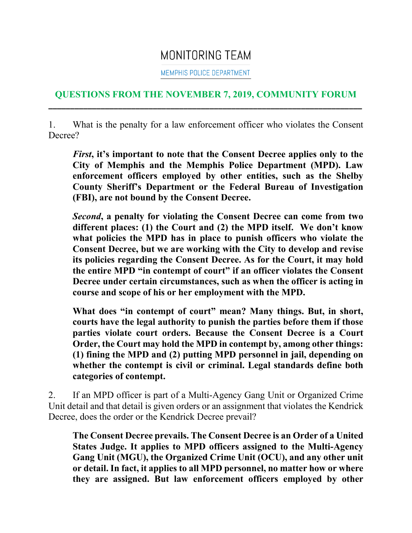# MONITORING TEAM

MEMPHIS POLICE DEPARTMENT

## **QUESTIONS FROM THE NOVEMBER 7, 2019, COMMUNITY FORUM \_\_\_\_\_\_\_\_\_\_\_\_\_\_\_\_\_\_\_\_\_\_\_\_\_\_\_\_\_\_\_\_\_\_\_\_\_\_\_\_\_\_\_\_\_\_\_\_\_\_\_\_\_\_\_\_\_\_\_\_\_\_\_\_\_\_\_\_\_\_\_\_**

1. What is the penalty for a law enforcement officer who violates the Consent Decree?

*First***, it's important to note that the Consent Decree applies only to the City of Memphis and the Memphis Police Department (MPD). Law enforcement officers employed by other entities, such as the Shelby County Sheriff's Department or the Federal Bureau of Investigation (FBI), are not bound by the Consent Decree.** 

*Second***, a penalty for violating the Consent Decree can come from two different places: (1) the Court and (2) the MPD itself. We don't know what policies the MPD has in place to punish officers who violate the Consent Decree, but we are working with the City to develop and revise its policies regarding the Consent Decree. As for the Court, it may hold the entire MPD "in contempt of court" if an officer violates the Consent Decree under certain circumstances, such as when the officer is acting in course and scope of his or her employment with the MPD.**

**What does "in contempt of court" mean? Many things. But, in short, courts have the legal authority to punish the parties before them if those parties violate court orders. Because the Consent Decree is a Court Order, the Court may hold the MPD in contempt by, among other things: (1) fining the MPD and (2) putting MPD personnel in jail, depending on whether the contempt is civil or criminal. Legal standards define both categories of contempt.** 

2. If an MPD officer is part of a Multi-Agency Gang Unit or Organized Crime Unit detail and that detail is given orders or an assignment that violates the Kendrick Decree, does the order or the Kendrick Decree prevail?

**The Consent Decree prevails. The Consent Decree is an Order of a United States Judge. It applies to MPD officers assigned to the Multi-Agency Gang Unit (MGU), the Organized Crime Unit (OCU), and any other unit or detail. In fact, it applies to all MPD personnel, no matter how or where they are assigned. But law enforcement officers employed by other**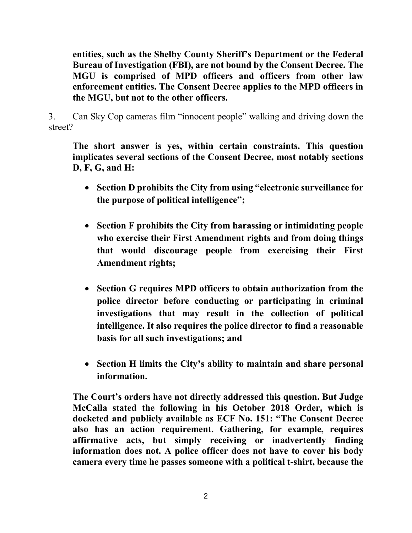**entities, such as the Shelby County Sheriff's Department or the Federal Bureau of Investigation (FBI), are not bound by the Consent Decree. The MGU is comprised of MPD officers and officers from other law enforcement entities. The Consent Decree applies to the MPD officers in the MGU, but not to the other officers.** 

3. Can Sky Cop cameras film "innocent people" walking and driving down the street?

**The short answer is yes, within certain constraints. This question implicates several sections of the Consent Decree, most notably sections D, F, G, and H:**

- **Section D prohibits the City from using "electronic surveillance for the purpose of political intelligence";**
- **Section F prohibits the City from harassing or intimidating people who exercise their First Amendment rights and from doing things that would discourage people from exercising their First Amendment rights;**
- **Section G requires MPD officers to obtain authorization from the police director before conducting or participating in criminal investigations that may result in the collection of political intelligence. It also requires the police director to find a reasonable basis for all such investigations; and**
- **Section H limits the City's ability to maintain and share personal information.**

**The Court's orders have not directly addressed this question. But Judge McCalla stated the following in his October 2018 Order, which is docketed and publicly available as ECF No. 151: "The Consent Decree also has an action requirement. Gathering, for example, requires affirmative acts, but simply receiving or inadvertently finding information does not. A police officer does not have to cover his body camera every time he passes someone with a political t-shirt, because the**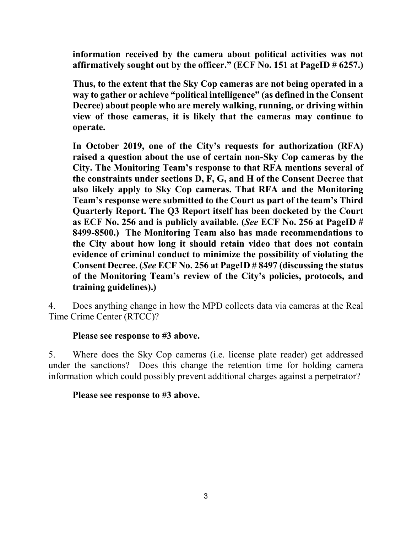**information received by the camera about political activities was not affirmatively sought out by the officer." (ECF No. 151 at PageID # 6257.)**

**Thus, to the extent that the Sky Cop cameras are not being operated in a way to gather or achieve "political intelligence" (as defined in the Consent Decree) about people who are merely walking, running, or driving within view of those cameras, it is likely that the cameras may continue to operate.** 

**In October 2019, one of the City's requests for authorization (RFA) raised a question about the use of certain non-Sky Cop cameras by the City. The Monitoring Team's response to that RFA mentions several of the constraints under sections D, F, G, and H of the Consent Decree that also likely apply to Sky Cop cameras. That RFA and the Monitoring Team's response were submitted to the Court as part of the team's Third Quarterly Report. The Q3 Report itself has been docketed by the Court as ECF No. 256 and is publicly available. (***See* **ECF No. 256 at PageID # 8499-8500.) The Monitoring Team also has made recommendations to the City about how long it should retain video that does not contain evidence of criminal conduct to minimize the possibility of violating the Consent Decree. (***See* **ECF No. 256 at PageID # 8497 (discussing the status of the Monitoring Team's review of the City's policies, protocols, and training guidelines).)** 

4. Does anything change in how the MPD collects data via cameras at the Real Time Crime Center (RTCC)?

#### **Please see response to #3 above.**

5. Where does the Sky Cop cameras (i.e. license plate reader) get addressed under the sanctions? Does this change the retention time for holding camera information which could possibly prevent additional charges against a perpetrator?

#### **Please see response to #3 above.**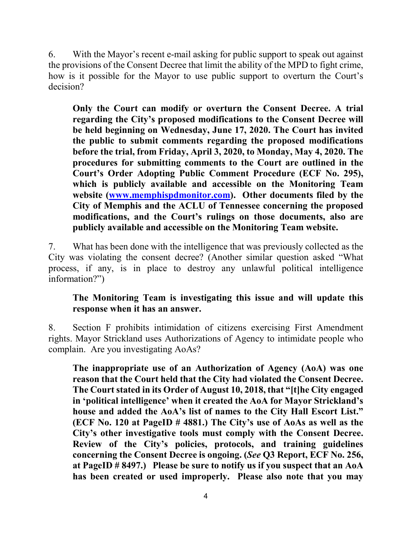6. With the Mayor's recent e-mail asking for public support to speak out against the provisions of the Consent Decree that limit the ability of the MPD to fight crime, how is it possible for the Mayor to use public support to overturn the Court's decision?

**Only the Court can modify or overturn the Consent Decree. A trial regarding the City's proposed modifications to the Consent Decree will be held beginning on Wednesday, June 17, 2020. The Court has invited the public to submit comments regarding the proposed modifications before the trial, from Friday, April 3, 2020, to Monday, May 4, 2020. The procedures for submitting comments to the Court are outlined in the Court's Order Adopting Public Comment Procedure (ECF No. 295), which is publicly available and accessible on the Monitoring Team website [\(www.memphispdmonitor.com\)](http://www.memphispdmonitor.com/). Other documents filed by the City of Memphis and the ACLU of Tennessee concerning the proposed modifications, and the Court's rulings on those documents, also are publicly available and accessible on the Monitoring Team website.** 

7. What has been done with the intelligence that was previously collected as the City was violating the consent decree? (Another similar question asked "What process, if any, is in place to destroy any unlawful political intelligence information?")

## **The Monitoring Team is investigating this issue and will update this response when it has an answer.**

8. Section F prohibits intimidation of citizens exercising First Amendment rights. Mayor Strickland uses Authorizations of Agency to intimidate people who complain. Are you investigating AoAs?

**The inappropriate use of an Authorization of Agency (AoA) was one reason that the Court held that the City had violated the Consent Decree. The Court stated in its Order of August 10, 2018, that "[t]he City engaged in 'political intelligence' when it created the AoA for Mayor Strickland's house and added the AoA's list of names to the City Hall Escort List." (ECF No. 120 at PageID # 4881.) The City's use of AoAs as well as the City's other investigative tools must comply with the Consent Decree. Review of the City's policies, protocols, and training guidelines concerning the Consent Decree is ongoing. (***See* **Q3 Report, ECF No. 256, at PageID # 8497.) Please be sure to notify us if you suspect that an AoA has been created or used improperly. Please also note that you may**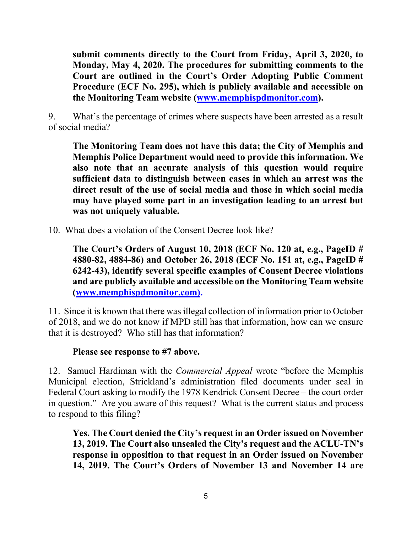**submit comments directly to the Court from Friday, April 3, 2020, to Monday, May 4, 2020. The procedures for submitting comments to the Court are outlined in the Court's Order Adopting Public Comment Procedure (ECF No. 295), which is publicly available and accessible on the Monitoring Team website [\(www.memphispdmonitor.com\)](http://www.memphispdmonitor.com/).**

9. What's the percentage of crimes where suspects have been arrested as a result of social media?

**The Monitoring Team does not have this data; the City of Memphis and Memphis Police Department would need to provide this information. We also note that an accurate analysis of this question would require sufficient data to distinguish between cases in which an arrest was the direct result of the use of social media and those in which social media may have played some part in an investigation leading to an arrest but was not uniquely valuable.** 

10. What does a violation of the Consent Decree look like?

**The Court's Orders of August 10, 2018 (ECF No. 120 at, e.g., PageID # 4880-82, 4884-86) and October 26, 2018 (ECF No. 151 at, e.g., PageID # 6242-43), identify several specific examples of Consent Decree violations and are publicly available and accessible on the Monitoring Team website [\(www.memphispdmonitor.com\)](http://www.memphispdmonitor.com/).**

11. Since it is known that there was illegal collection of information prior to October of 2018, and we do not know if MPD still has that information, how can we ensure that it is destroyed? Who still has that information?

#### **Please see response to #7 above.**

12. Samuel Hardiman with the *Commercial Appeal* wrote "before the Memphis Municipal election, Strickland's administration filed documents under seal in Federal Court asking to modify the 1978 Kendrick Consent Decree – the court order in question." Are you aware of this request? What is the current status and process to respond to this filing?

**Yes. The Court denied the City's request in an Order issued on November 13, 2019. The Court also unsealed the City's request and the ACLU-TN's response in opposition to that request in an Order issued on November 14, 2019. The Court's Orders of November 13 and November 14 are**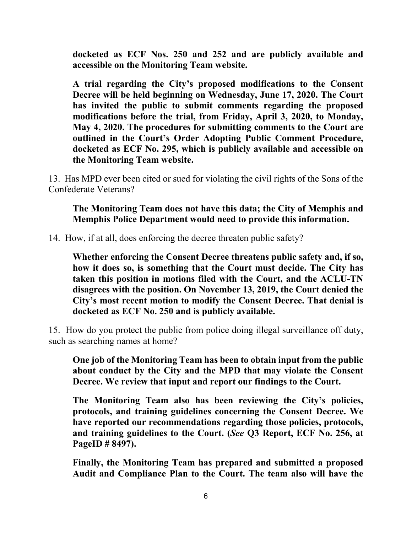**docketed as ECF Nos. 250 and 252 and are publicly available and accessible on the Monitoring Team website.** 

**A trial regarding the City's proposed modifications to the Consent Decree will be held beginning on Wednesday, June 17, 2020. The Court has invited the public to submit comments regarding the proposed modifications before the trial, from Friday, April 3, 2020, to Monday, May 4, 2020. The procedures for submitting comments to the Court are outlined in the Court's Order Adopting Public Comment Procedure, docketed as ECF No. 295, which is publicly available and accessible on the Monitoring Team website.** 

13. Has MPD ever been cited or sued for violating the civil rights of the Sons of the Confederate Veterans?

**The Monitoring Team does not have this data; the City of Memphis and Memphis Police Department would need to provide this information.**

14. How, if at all, does enforcing the decree threaten public safety?

**Whether enforcing the Consent Decree threatens public safety and, if so, how it does so, is something that the Court must decide. The City has taken this position in motions filed with the Court, and the ACLU-TN disagrees with the position. On November 13, 2019, the Court denied the City's most recent motion to modify the Consent Decree. That denial is docketed as ECF No. 250 and is publicly available.** 

15. How do you protect the public from police doing illegal surveillance off duty, such as searching names at home?

**One job of the Monitoring Team has been to obtain input from the public about conduct by the City and the MPD that may violate the Consent Decree. We review that input and report our findings to the Court.** 

**The Monitoring Team also has been reviewing the City's policies, protocols, and training guidelines concerning the Consent Decree. We have reported our recommendations regarding those policies, protocols, and training guidelines to the Court. (***See* **Q3 Report, ECF No. 256, at PageID # 8497).**

**Finally, the Monitoring Team has prepared and submitted a proposed Audit and Compliance Plan to the Court. The team also will have the**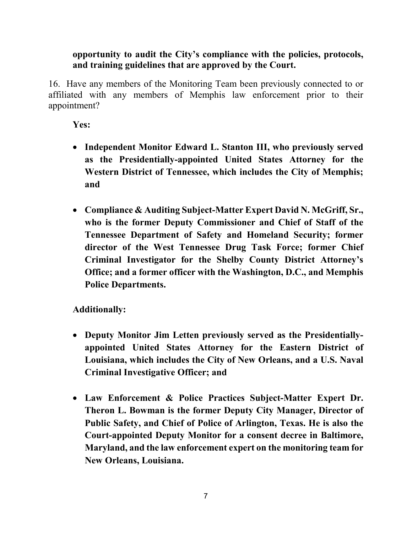# **opportunity to audit the City's compliance with the policies, protocols, and training guidelines that are approved by the Court.**

16. Have any members of the Monitoring Team been previously connected to or affiliated with any members of Memphis law enforcement prior to their appointment?

**Yes:**

- **Independent Monitor Edward L. Stanton III, who previously served as the Presidentially-appointed United States Attorney for the Western District of Tennessee, which includes the City of Memphis; and**
- **Compliance & Auditing Subject-Matter Expert David N. McGriff, Sr., who is the former Deputy Commissioner and Chief of Staff of the Tennessee Department of Safety and Homeland Security; former director of the West Tennessee Drug Task Force; former Chief Criminal Investigator for the Shelby County District Attorney's Office; and a former officer with the Washington, D.C., and Memphis Police Departments.**

**Additionally:**

- **Deputy Monitor Jim Letten previously served as the Presidentiallyappointed United States Attorney for the Eastern District of Louisiana, which includes the City of New Orleans, and a U.S. Naval Criminal Investigative Officer; and**
- **Law Enforcement & Police Practices Subject-Matter Expert Dr. Theron L. Bowman is the former Deputy City Manager, Director of Public Safety, and Chief of Police of Arlington, Texas. He is also the Court-appointed Deputy Monitor for a consent decree in Baltimore, Maryland, and the law enforcement expert on the monitoring team for New Orleans, Louisiana.**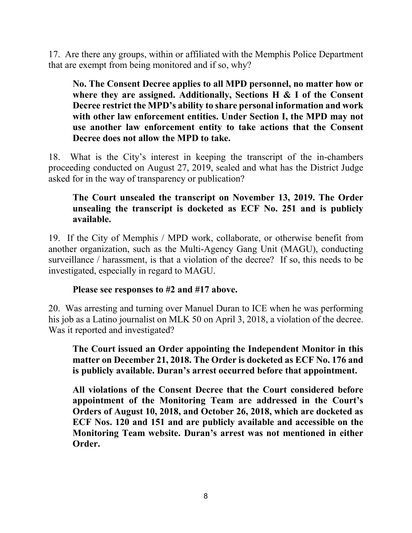17. Are there any groups, within or affiliated with the Memphis Police Department that are exempt from being monitored and if so, why?

**No. The Consent Decree applies to all MPD personnel, no matter how or where they are assigned. Additionally, Sections H & I of the Consent Decree restrict the MPD's ability to share personal information and work with other law enforcement entities. Under Section I, the MPD may not use another law enforcement entity to take actions that the Consent Decree does not allow the MPD to take.** 

18. What is the City's interest in keeping the transcript of the in-chambers proceeding conducted on August 27, 2019, sealed and what has the District Judge asked for in the way of transparency or publication?

## **The Court unsealed the transcript on November 13, 2019. The Order unsealing the transcript is docketed as ECF No. 251 and is publicly available.**

19. If the City of Memphis / MPD work, collaborate, or otherwise benefit from another organization, such as the Multi-Agency Gang Unit (MAGU), conducting surveillance / harassment, is that a violation of the decree? If so, this needs to be investigated, especially in regard to MAGU.

## **Please see responses to #2 and #17 above.**

20. Was arresting and turning over Manuel Duran to ICE when he was performing his job as a Latino journalist on MLK 50 on April 3, 2018, a violation of the decree. Was it reported and investigated?

**The Court issued an Order appointing the Independent Monitor in this matter on December 21, 2018. The Order is docketed as ECF No. 176 and is publicly available. Duran's arrest occurred before that appointment.** 

**All violations of the Consent Decree that the Court considered before appointment of the Monitoring Team are addressed in the Court's Orders of August 10, 2018, and October 26, 2018, which are docketed as ECF Nos. 120 and 151 and are publicly available and accessible on the Monitoring Team website. Duran's arrest was not mentioned in either Order.**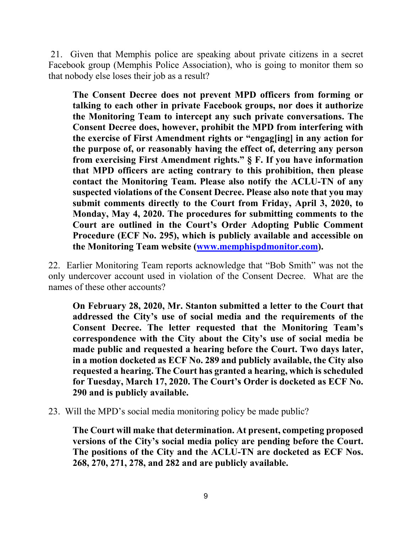21. Given that Memphis police are speaking about private citizens in a secret Facebook group (Memphis Police Association), who is going to monitor them so that nobody else loses their job as a result?

**The Consent Decree does not prevent MPD officers from forming or talking to each other in private Facebook groups, nor does it authorize the Monitoring Team to intercept any such private conversations. The Consent Decree does, however, prohibit the MPD from interfering with the exercise of First Amendment rights or "engag[ing] in any action for the purpose of, or reasonably having the effect of, deterring any person from exercising First Amendment rights." § F. If you have information that MPD officers are acting contrary to this prohibition, then please contact the Monitoring Team. Please also notify the ACLU-TN of any suspected violations of the Consent Decree. Please also note that you may submit comments directly to the Court from Friday, April 3, 2020, to Monday, May 4, 2020. The procedures for submitting comments to the Court are outlined in the Court's Order Adopting Public Comment Procedure (ECF No. 295), which is publicly available and accessible on the Monitoring Team website [\(www.memphispdmonitor.com\)](http://www.memphispdmonitor.com/).**

22. Earlier Monitoring Team reports acknowledge that "Bob Smith" was not the only undercover account used in violation of the Consent Decree. What are the names of these other accounts?

**On February 28, 2020, Mr. Stanton submitted a letter to the Court that addressed the City's use of social media and the requirements of the Consent Decree. The letter requested that the Monitoring Team's correspondence with the City about the City's use of social media be made public and requested a hearing before the Court. Two days later, in a motion docketed as ECF No. 289 and publicly available, the City also requested a hearing. The Court has granted a hearing, which is scheduled for Tuesday, March 17, 2020. The Court's Order is docketed as ECF No. 290 and is publicly available.** 

23. Will the MPD's social media monitoring policy be made public?

**The Court will make that determination. At present, competing proposed versions of the City's social media policy are pending before the Court. The positions of the City and the ACLU-TN are docketed as ECF Nos. 268, 270, 271, 278, and 282 and are publicly available.**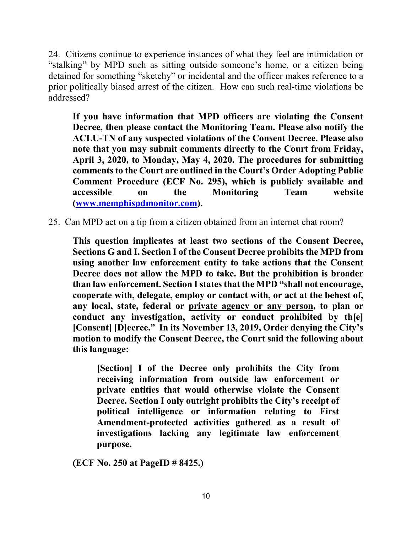24. Citizens continue to experience instances of what they feel are intimidation or "stalking" by MPD such as sitting outside someone's home, or a citizen being detained for something "sketchy" or incidental and the officer makes reference to a prior politically biased arrest of the citizen. How can such real-time violations be addressed?

**If you have information that MPD officers are violating the Consent Decree, then please contact the Monitoring Team. Please also notify the ACLU-TN of any suspected violations of the Consent Decree. Please also note that you may submit comments directly to the Court from Friday, April 3, 2020, to Monday, May 4, 2020. The procedures for submitting comments to the Court are outlined in the Court's Order Adopting Public Comment Procedure (ECF No. 295), which is publicly available and accessible on the Monitoring Team website [\(www.memphispdmonitor.com\)](http://www.memphispdmonitor.com/).**

25. Can MPD act on a tip from a citizen obtained from an internet chat room?

**This question implicates at least two sections of the Consent Decree, Sections G and I. Section I of the Consent Decree prohibits the MPD from using another law enforcement entity to take actions that the Consent Decree does not allow the MPD to take. But the prohibition is broader than law enforcement. Section I states that the MPD "shall not encourage, cooperate with, delegate, employ or contact with, or act at the behest of, any local, state, federal or private agency or any person, to plan or conduct any investigation, activity or conduct prohibited by th[e] [Consent] [D]ecree." In its November 13, 2019, Order denying the City's motion to modify the Consent Decree, the Court said the following about this language:**

**[Section] I of the Decree only prohibits the City from receiving information from outside law enforcement or private entities that would otherwise violate the Consent Decree. Section I only outright prohibits the City's receipt of political intelligence or information relating to First Amendment-protected activities gathered as a result of investigations lacking any legitimate law enforcement purpose.**

**(ECF No. 250 at PageID # 8425.)**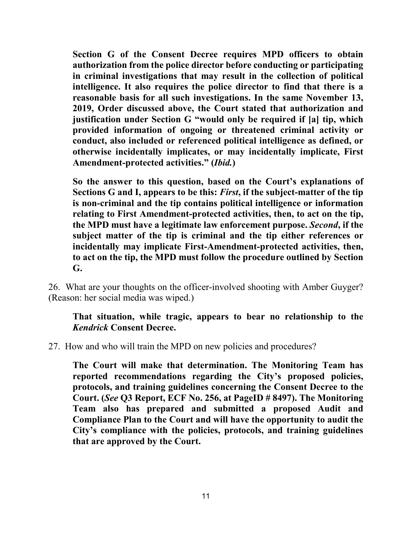**Section G of the Consent Decree requires MPD officers to obtain authorization from the police director before conducting or participating in criminal investigations that may result in the collection of political intelligence. It also requires the police director to find that there is a reasonable basis for all such investigations. In the same November 13, 2019, Order discussed above, the Court stated that authorization and justification under Section G "would only be required if [a] tip, which provided information of ongoing or threatened criminal activity or conduct, also included or referenced political intelligence as defined, or otherwise incidentally implicates, or may incidentally implicate, First Amendment-protected activities." (***Ibid.***)**

**So the answer to this question, based on the Court's explanations of Sections G and I, appears to be this:** *First***, if the subject-matter of the tip is non-criminal and the tip contains political intelligence or information relating to First Amendment-protected activities, then, to act on the tip, the MPD must have a legitimate law enforcement purpose.** *Second***, if the subject matter of the tip is criminal and the tip either references or incidentally may implicate First-Amendment-protected activities, then, to act on the tip, the MPD must follow the procedure outlined by Section G.** 

26. What are your thoughts on the officer-involved shooting with Amber Guyger? (Reason: her social media was wiped.)

#### **That situation, while tragic, appears to bear no relationship to the**  *Kendrick* **Consent Decree.**

27. How and who will train the MPD on new policies and procedures?

**The Court will make that determination. The Monitoring Team has reported recommendations regarding the City's proposed policies, protocols, and training guidelines concerning the Consent Decree to the Court. (***See* **Q3 Report, ECF No. 256, at PageID # 8497). The Monitoring Team also has prepared and submitted a proposed Audit and Compliance Plan to the Court and will have the opportunity to audit the City's compliance with the policies, protocols, and training guidelines that are approved by the Court.**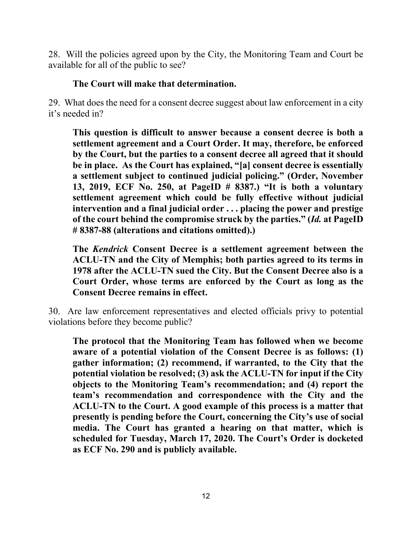28. Will the policies agreed upon by the City, the Monitoring Team and Court be available for all of the public to see?

# **The Court will make that determination.**

29. What does the need for a consent decree suggest about law enforcement in a city it's needed in?

**This question is difficult to answer because a consent decree is both a settlement agreement and a Court Order. It may, therefore, be enforced by the Court, but the parties to a consent decree all agreed that it should be in place. As the Court has explained, "[a] consent decree is essentially a settlement subject to continued judicial policing." (Order, November 13, 2019, ECF No. 250, at PageID # 8387.) "It is both a voluntary settlement agreement which could be fully effective without judicial intervention and a final judicial order . . . placing the power and prestige of the court behind the compromise struck by the parties." (***Id.* **at PageID # 8387-88 (alterations and citations omitted).)**

**The** *Kendrick* **Consent Decree is a settlement agreement between the ACLU-TN and the City of Memphis; both parties agreed to its terms in 1978 after the ACLU-TN sued the City. But the Consent Decree also is a Court Order, whose terms are enforced by the Court as long as the Consent Decree remains in effect.** 

30. Are law enforcement representatives and elected officials privy to potential violations before they become public?

**The protocol that the Monitoring Team has followed when we become aware of a potential violation of the Consent Decree is as follows: (1) gather information; (2) recommend, if warranted, to the City that the potential violation be resolved; (3) ask the ACLU-TN for input if the City objects to the Monitoring Team's recommendation; and (4) report the team's recommendation and correspondence with the City and the ACLU-TN to the Court. A good example of this process is a matter that presently is pending before the Court, concerning the City's use of social media. The Court has granted a hearing on that matter, which is scheduled for Tuesday, March 17, 2020. The Court's Order is docketed as ECF No. 290 and is publicly available.**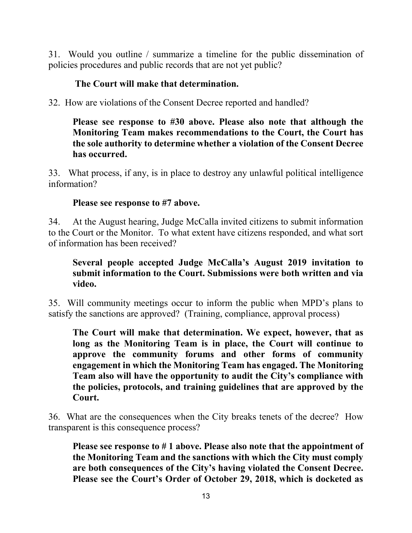31. Would you outline / summarize a timeline for the public dissemination of policies procedures and public records that are not yet public?

# **The Court will make that determination.**

32. How are violations of the Consent Decree reported and handled?

**Please see response to #30 above. Please also note that although the Monitoring Team makes recommendations to the Court, the Court has the sole authority to determine whether a violation of the Consent Decree has occurred.** 

33. What process, if any, is in place to destroy any unlawful political intelligence information?

#### **Please see response to #7 above.**

34. At the August hearing, Judge McCalla invited citizens to submit information to the Court or the Monitor. To what extent have citizens responded, and what sort of information has been received?

## **Several people accepted Judge McCalla's August 2019 invitation to submit information to the Court. Submissions were both written and via video.**

35. Will community meetings occur to inform the public when MPD's plans to satisfy the sanctions are approved? (Training, compliance, approval process)

**The Court will make that determination. We expect, however, that as long as the Monitoring Team is in place, the Court will continue to approve the community forums and other forms of community engagement in which the Monitoring Team has engaged. The Monitoring Team also will have the opportunity to audit the City's compliance with the policies, protocols, and training guidelines that are approved by the Court.** 

36. What are the consequences when the City breaks tenets of the decree? How transparent is this consequence process?

**Please see response to # 1 above. Please also note that the appointment of the Monitoring Team and the sanctions with which the City must comply are both consequences of the City's having violated the Consent Decree. Please see the Court's Order of October 29, 2018, which is docketed as**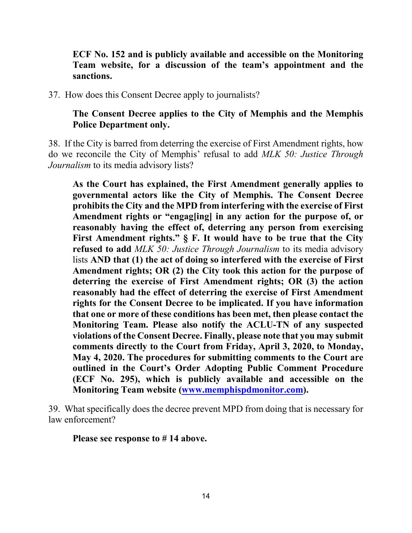## **ECF No. 152 and is publicly available and accessible on the Monitoring Team website, for a discussion of the team's appointment and the sanctions.**

37. How does this Consent Decree apply to journalists?

## **The Consent Decree applies to the City of Memphis and the Memphis Police Department only.**

38. If the City is barred from deterring the exercise of First Amendment rights, how do we reconcile the City of Memphis' refusal to add *MLK 50: Justice Through Journalism* to its media advisory lists?

**As the Court has explained, the First Amendment generally applies to governmental actors like the City of Memphis. The Consent Decree prohibits the City and the MPD from interfering with the exercise of First Amendment rights or "engag[ing] in any action for the purpose of, or reasonably having the effect of, deterring any person from exercising First Amendment rights." § F. It would have to be true that the City refused to add** *MLK 50: Justice Through Journalism* to its media advisory lists **AND that (1) the act of doing so interfered with the exercise of First Amendment rights; OR (2) the City took this action for the purpose of deterring the exercise of First Amendment rights; OR (3) the action reasonably had the effect of deterring the exercise of First Amendment rights for the Consent Decree to be implicated. If you have information that one or more of these conditions has been met, then please contact the Monitoring Team. Please also notify the ACLU-TN of any suspected violations of the Consent Decree. Finally, please note that you may submit comments directly to the Court from Friday, April 3, 2020, to Monday, May 4, 2020. The procedures for submitting comments to the Court are outlined in the Court's Order Adopting Public Comment Procedure (ECF No. 295), which is publicly available and accessible on the Monitoring Team website [\(www.memphispdmonitor.com\)](http://www.memphispdmonitor.com/).**

39. What specifically does the decree prevent MPD from doing that is necessary for law enforcement?

**Please see response to # 14 above.**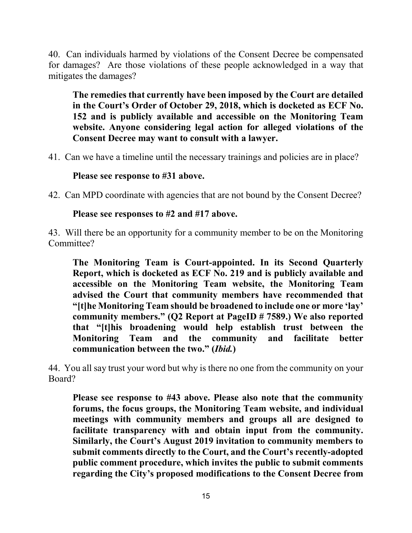40. Can individuals harmed by violations of the Consent Decree be compensated for damages? Are those violations of these people acknowledged in a way that mitigates the damages?

**The remedies that currently have been imposed by the Court are detailed in the Court's Order of October 29, 2018, which is docketed as ECF No. 152 and is publicly available and accessible on the Monitoring Team website. Anyone considering legal action for alleged violations of the Consent Decree may want to consult with a lawyer.**

41. Can we have a timeline until the necessary trainings and policies are in place?

## **Please see response to #31 above.**

42. Can MPD coordinate with agencies that are not bound by the Consent Decree?

## **Please see responses to #2 and #17 above.**

43. Will there be an opportunity for a community member to be on the Monitoring Committee?

**The Monitoring Team is Court-appointed. In its Second Quarterly Report, which is docketed as ECF No. 219 and is publicly available and accessible on the Monitoring Team website, the Monitoring Team advised the Court that community members have recommended that "[t]he Monitoring Team should be broadened to include one or more 'lay' community members." (Q2 Report at PageID # 7589.) We also reported that "[t]his broadening would help establish trust between the Monitoring Team and the community and facilitate better communication between the two." (***Ibid.***)**

44. You all say trust your word but why is there no one from the community on your Board?

**Please see response to #43 above. Please also note that the community forums, the focus groups, the Monitoring Team website, and individual meetings with community members and groups all are designed to facilitate transparency with and obtain input from the community. Similarly, the Court's August 2019 invitation to community members to submit comments directly to the Court, and the Court's recently-adopted public comment procedure, which invites the public to submit comments regarding the City's proposed modifications to the Consent Decree from**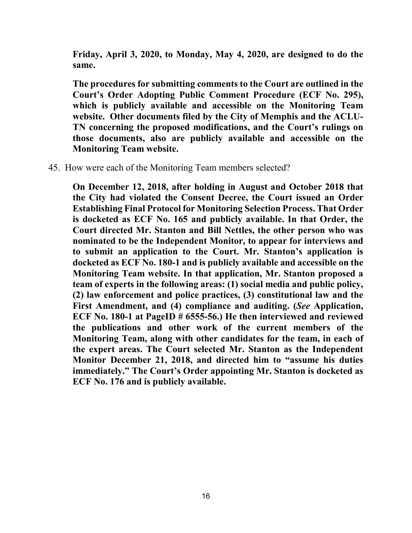**Friday, April 3, 2020, to Monday, May 4, 2020, are designed to do the same.** 

**The procedures for submitting comments to the Court are outlined in the Court's Order Adopting Public Comment Procedure (ECF No. 295), which is publicly available and accessible on the Monitoring Team website. Other documents filed by the City of Memphis and the ACLU-TN concerning the proposed modifications, and the Court's rulings on those documents, also are publicly available and accessible on the Monitoring Team website.** 

45. How were each of the Monitoring Team members selected?

**On December 12, 2018, after holding in August and October 2018 that the City had violated the Consent Decree, the Court issued an Order Establishing Final Protocol for Monitoring Selection Process. That Order is docketed as ECF No. 165 and publicly available. In that Order, the Court directed Mr. Stanton and Bill Nettles, the other person who was nominated to be the Independent Monitor, to appear for interviews and to submit an application to the Court. Mr. Stanton's application is docketed as ECF No. 180-1 and is publicly available and accessible on the Monitoring Team website. In that application, Mr. Stanton proposed a team of experts in the following areas: (1) social media and public policy, (2) law enforcement and police practices, (3) constitutional law and the First Amendment, and (4) compliance and auditing. (***See* **Application, ECF No. 180-1 at PageID # 6555-56.) He then interviewed and reviewed the publications and other work of the current members of the Monitoring Team, along with other candidates for the team, in each of the expert areas. The Court selected Mr. Stanton as the Independent Monitor December 21, 2018, and directed him to "assume his duties immediately." The Court's Order appointing Mr. Stanton is docketed as ECF No. 176 and is publicly available.**